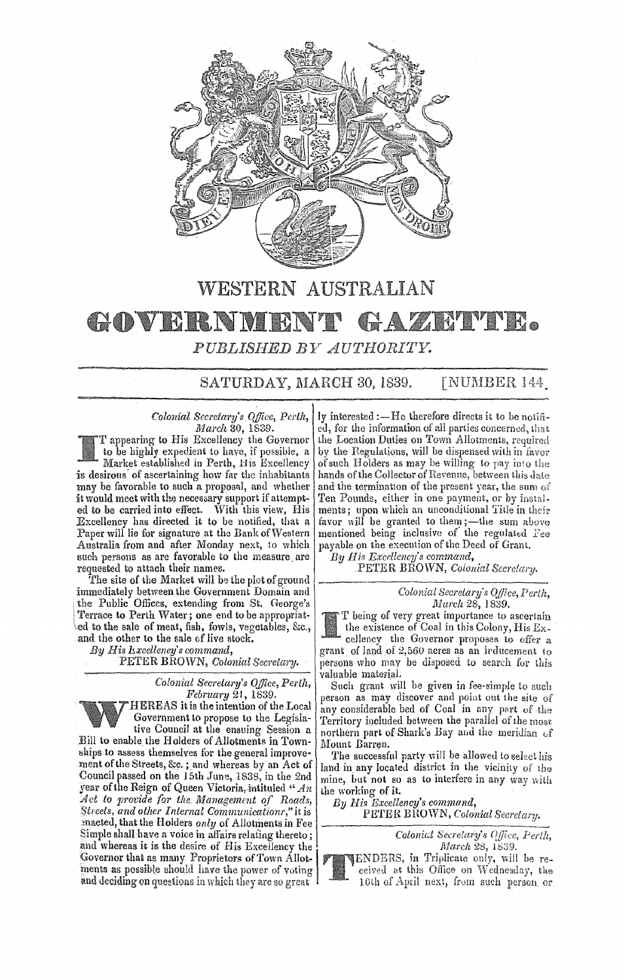

# WESTERN AUSTRALIAN

## GOVERNM **HAZIM TIL.**

PUBLISHED BY AUTHORITY.

SATURDAY, MARCH 30, 1839. **[NUMBER 144]** 

*Colonial Secretary's Office, Perth, March* 3Q, 1839.

T appearing to His Excellency the Governor to be highly expedient to have, if possible. a Market established in Perth, His Excellency is desirous of ascertaining how far the inhabitants may be favorable to such a proposal, and whether it would meet with the necessary support if attempted to be carried into effect. With this view, His Excellency has directed it to be notified, that a Paper will lie for signature at the Bank of Western Australia from and after Monday next, to which such persons as are favorable to the measure are requested to attach their names.

The site of the Market will be the plot of ground immediately between the Government Domain and the Public Offices, extending from St. George's Terrace to Perth Water; one end to be appropriated to the sale of meat, fish, fowls, vegetables, &c., and the other to the sale of live stock.

*His Excellency's command,* 

PETER BROWN, Colonial Secretary.

*Colonial Secretary's Office, Perth, February* 21,1839. HEREAS it is the intention of the Local Government to propose to the Legislative Council at the ensuing Session a Bill to enable the Holders of Allotments in Townships to assess themselves for the general improvement of the Streets, &c. ; and whereas by an Act of Council passed on the 15th June, 1838; in the 2nd year of the Reign of Queen Victoria, intituled "  $An$ *to protide for the. Management of Roads, 8.treeis, and other I nlemal Communicationr* ," it is ~nacted, that the Holders *only* of Allotments in Fee Simple shall have a voice in affairs relating thereto; geneted, that the Holders only of Allotments in Fee<br>simple shall have a voice in affairs relating thereto;<br>and whereas it is the desire of His Excellency the<br>Governor that as many Proprietors of Town Allot Governor that as many Proprietors of Town Allotments as possible should have the power of voting and deciding on questions in which they are so great

ly interested :- He therefore directs it to be notified, for the information of all parties concerned, that the Location Duties on Town Allotments, required by the Regulations, will be dispensed with in favor of such Holders as may be willing to pay into the hands of the Collector of Revenue, between this date and the termination of the present year, the sum of Ten Pounds, either in one payment, or by instalments; upon which an unconditional Title in their favor will be granted to them; -- the sum above mentioned being inclusive of the regulated Fee payable on the execution of the Deed of Grant.

*By II is ExcPllency's command,*  PETER BROWN, Colonial Secretary.

> *Colonial Secretary's OJilcc, March* 28, 1839.

being of very great importance to ascertain the existence of Coal in this Colony, His Excellency the Governor proposes to offer a grant of land of  $2,560$  acres as an irducement to persons who may be disposed to search for this valuable material.

Such grant will be given in fee-simple to such person as may discover and point out the site of any considerable bed of Coal in any part of the Territory included between the parallel of the northern part of Shark's Bay and the meridian of Mount Barren.

The successful party will be allowed to select his land in any located district in the vicinity of the mine, but not so as to interfere in any way with lhe working of it.

*By His Excellency's command,*  PETER BROWN, Colonial Secretary.

> Colonial Secretary's Office, Perth, March 28, 1839.



TENDERS, in Triplicate only, will be received at this Office on Wednesday, the 10th of April next, from such person or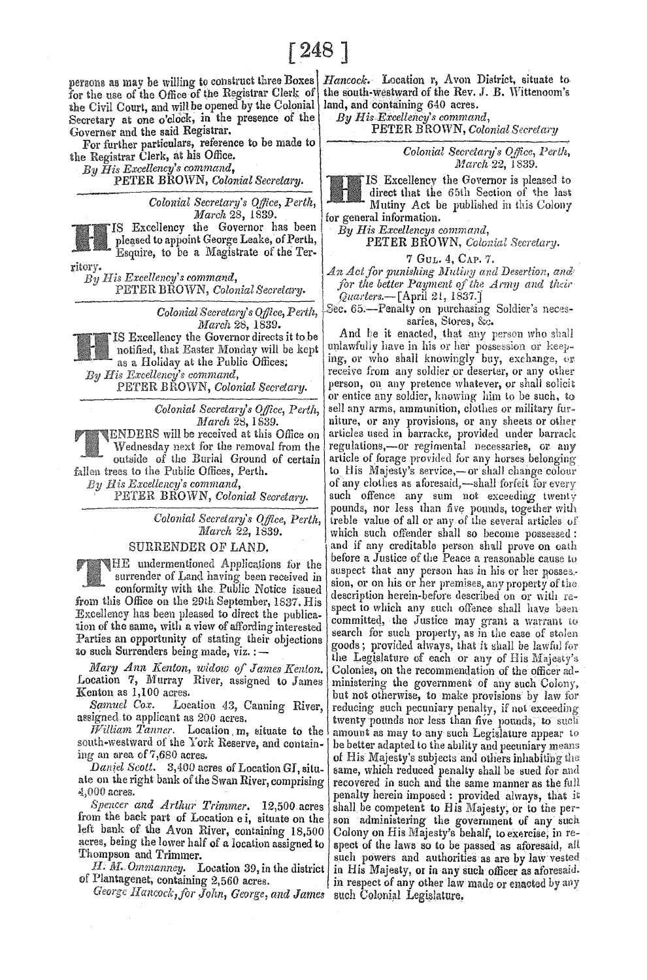for the use of the Office of the Registrar Clerk of the Civil Court, and will be opened by the Colonial Secretary at one o'clock, in the presence of the Governor and the said Registrar.

For further particulars, reference to be made to the Registrar Clerk, at his Office.

*Excellency's command,* 

PETER BROWN, *Colonial Secretary*.

IS Excellency the Governor has been By His Excellencys command, pleased to appoint George Leake, of Perth, **PETER BROWN**, Color Esquire, to be a Magistrate of the Ter-  $\begin{array}{c|c} \hline \end{array}$  7 GuL. 4, CAP. 7.

ritory.  $By$  *His Excellency's command,* PETER BROWN, *ColonialSecrelary.* 

> *Colonial Secretary'* 8 *Office, Perth, ]}Ial'ch* 28, 1839.

IS Excellency the Governor directs it tobe notified, that Easter Monday will be kept as a Holiday at the Public Offices; *His Excellency's command,*  PETER BROWN, *Colonial Secretary.* 

> *Colonial Secretary's Office, Perth, March* 28, 1839.

ENDERS will be received at this Office on \Vedncsday next for the removal from the outside of the Burial Ground of certain fallen trees to the Public Offices, Perth. *Bis Excellency's command,* 

PETER BROWN, *Colonial Secretary.* 

Colonial Secretary's Office, Perth, *Jlrlarch* 22, 1839.

### SURRENDER OF LAND.

**HE** undermentioned Applications for the surrender of Land having been received in

conformity with the. Public Notice issued from this Office on the 29th September, 1837, His Excellency has been pleased to direct the publication of the same, with a view of affording interested Parties an opportunity of stating their objections to such Surrenders being made, viz. :-

*Mary Ann Kenton, widow of James Kenton.* Location 7, Murray River, assigned to James Kenton as 1,100 acres.

*Samuel Cox.* Location 43, Canning River, assigned to applicant as 200 acres.

 $\tilde{W}$ illiam *Tanner*. Location  $m$ , situate to the south-westward of the York Reserve, and containing an area of 7,680 acres.

*Daniel Scott.* 3,400 acres of Location GI, situate on the right bank of the Swan River, comprising  $4,000$  acres.

*Spencer and Arthur Trimmer.* 12,500 acres from the back part of Location e i, situate on the left bank of the Avon River, containing 18,500 acres, being the lower half of a location assigned to Thompson and Trimmer.

H. *M. Ommanney.* Location 39, in the district of Plantagenet, containing 2,560 acres.

*llallcockdor John, Gem'ge, and James* 

as may be willing to construct three Boxes *Hancock.* Location r, Avon District, situate to the south-westward of the Rev. J. **B.** Wittenoom's land, and containing 640 acres.

By His Excellency's command,

PETER BROWN, *Colonial Secreia/7/* 

*Colonial Secretary's OJ/ice, Perth, March* 22, 1839.

IS Excellencv the GOYernor is pleased to direct that the 65th Section of the last *Colonial Secretary's Office, Perth,* Mutiny Act be published in this Colony March 28, 1839. for general information.

**PETER BROWN, Colonial Secretary.** 

*An Act for punishing lllutillY and Desertion, ana'*  for the better Payment of the Army and their *Q'uarters.-[April* 2t, 1837.]

Sec. 65.-Penalty on purchasing Soldier's necessaries, Stores, &c.

And he it enacted, that any person who shall unlawfully have in his or her possession or keeping, or who shall knowingly buy, exchange, or receive from any soldier or deserter, or any other person, on any pretence whatever, or shall solicit or entice any soldier, knowing him to be such, to sell any arms, ammunition, clothes or military furniture, or any provisions, or any sheets or other articles used in barracke, provided under barrack regulations,-or regimental necessaries, or any article of forage provided for any horses belonging to His Majesty's service,-or shall change colour of any clothes as aforesaid,—shall forfeit for every such offence any sum not exceeding twenty pounds, nor less than five pounds, together with ireble value of all or any of the several articles of which such offender shall so become possessed: and if any creditable person shall prove on oath before a Justice of the Peace a reasonable cause to suspect that any person has in his or her posses. sion, or on his or her premises, any property of the description herein-before described on or with respect to which any such offence shall have been committed, the Justice may grant a warrant to search for such property, as in the case of stolen goods; provided always, that it shall be lawful for the Legislature of each or any of His Majesty's Colonies, on the recommendation of the officer administering the government of any such but not otherwise, to make provisions by law for reducing such pecuniary penalty, if not exceeding twenty pounds nor less than five pounds, to such amount as may to any such Legislature appear to be better adapted to the ability and pecuniary means of His Majesty's subjects and others inhabiting the same, which reduced penalty shall be sued for and recovered in such and the same manner as the full penalty herein imposed: provided always, that it shall be competent to His Majesty, or to the person administering the government of any such Colony on His Majesty's behalf, to exercise, in respect of the laws so to be passed as aforesaid, all such powers and authorities as are by law vested in His Majesty, or in any such officer as aforesaid. in respect of any other law made or enacted by any such Colonial Legislature.